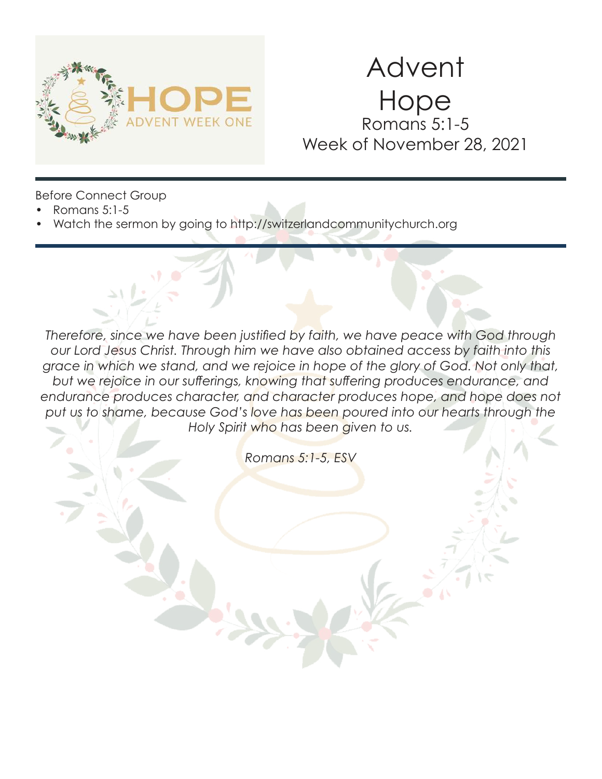

# Advent Hope Romans 5:1-5 Week of November 28, 2021

Before Connect Group

- Romans 5:1-5
- Watch the sermon by going to http://switzerlandcommunitychurch.org

*Therefore, since we have been justified by faith, we have peace with God through our Lord Jesus Christ. Through him we have also obtained access by faith into this grace in which we stand, and we rejoice in hope of the glory of God. Not only that, but we rejoice in our sufferings, knowing that suffering produces endurance, and*  endurance produces character, and character produces hope, and hope does not put us to shame, because God's love has been poured into our hearts through the *Holy Spirit who has been given to us.* 

*Romans 5:1-5, ESV*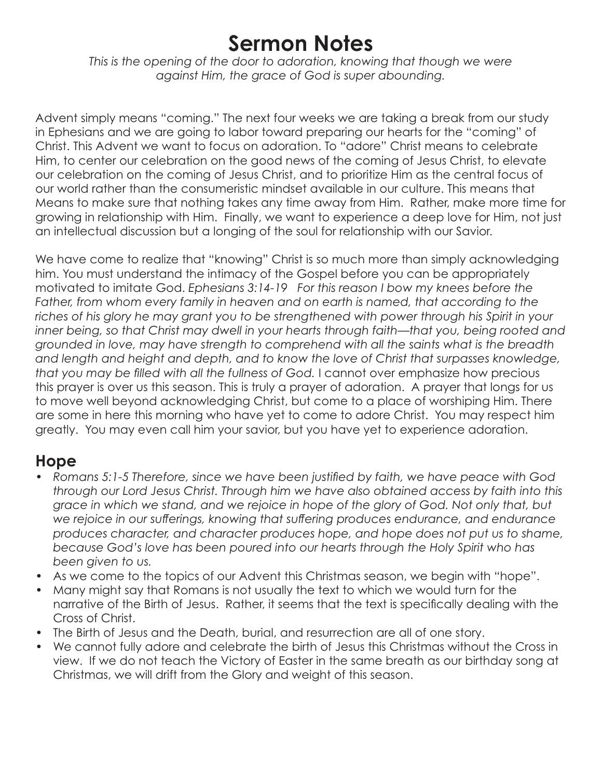# **Sermon Notes**

*This is the opening of the door to adoration, knowing that though we were against Him, the grace of God is super abounding.* 

Advent simply means "coming." The next four weeks we are taking a break from our study in Ephesians and we are going to labor toward preparing our hearts for the "coming" of Christ. This Advent we want to focus on adoration. To "adore" Christ means to celebrate Him, to center our celebration on the good news of the coming of Jesus Christ, to elevate our celebration on the coming of Jesus Christ, and to prioritize Him as the central focus of our world rather than the consumeristic mindset available in our culture. This means that Means to make sure that nothing takes any time away from Him. Rather, make more time for growing in relationship with Him. Finally, we want to experience a deep love for Him, not just an intellectual discussion but a longing of the soul for relationship with our Savior.

We have come to realize that "knowing" Christ is so much more than simply acknowledging him. You must understand the intimacy of the Gospel before you can be appropriately motivated to imitate God. *Ephesians 3:14-19 For this reason I bow my knees before the*  Father, from whom every family in heaven and on earth is named, that according to the riches of his glory he may grant you to be strengthened with power through his Spirit in your *inner being, so that Christ may dwell in your hearts through faith—that you, being rooted and grounded in love, may have strength to comprehend with all the saints what is the breadth and length and height and depth, and to know the love of Christ that surpasses knowledge, that you may be filled with all the fullness of God.* I cannot over emphasize how precious this prayer is over us this season. This is truly a prayer of adoration. A prayer that longs for us to move well beyond acknowledging Christ, but come to a place of worshiping Him. There are some in here this morning who have yet to come to adore Christ. You may respect him greatly. You may even call him your savior, but you have yet to experience adoration.

#### **Hope**

- *Romans 5:1-5 Therefore, since we have been justified by faith, we have peace with God through our Lord Jesus Christ. Through him we have also obtained access by faith into this grace in which we stand, and we rejoice in hope of the glory of God. Not only that, but we rejoice in our sufferings, knowing that suffering produces endurance, and endurance produces character, and character produces hope, and hope does not put us to shame, because God's love has been poured into our hearts through the Holy Spirit who has been given to us.*
- As we come to the topics of our Advent this Christmas season, we begin with "hope".
- Many might say that Romans is not usually the text to which we would turn for the narrative of the Birth of Jesus. Rather, it seems that the text is specifically dealing with the Cross of Christ.
- The Birth of Jesus and the Death, burial, and resurrection are all of one story.
- We cannot fully adore and celebrate the birth of Jesus this Christmas without the Cross in view. If we do not teach the Victory of Easter in the same breath as our birthday song at Christmas, we will drift from the Glory and weight of this season.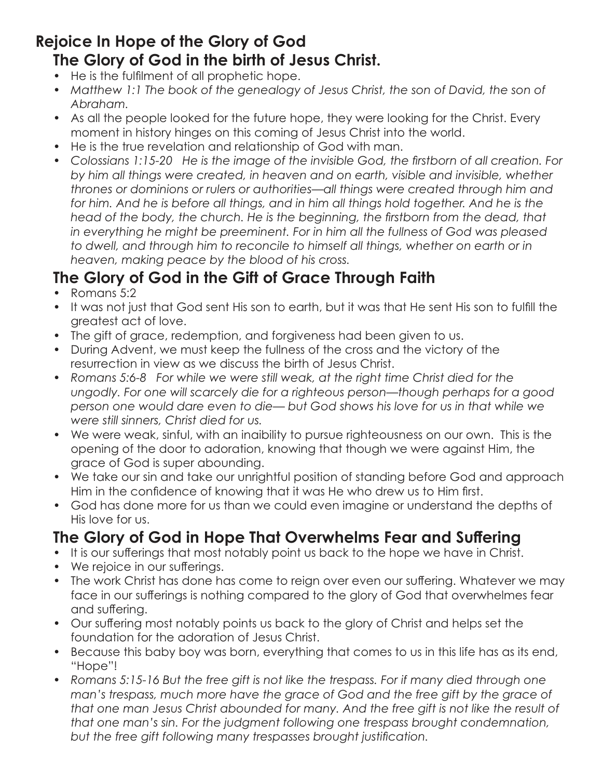#### **Rejoice In Hope of the Glory of God The Glory of God in the birth of Jesus Christ.**

- He is the fulfilment of all prophetic hope.
- Matthew 1:1 The book of the genealogy of Jesus Christ, the son of David, the son of *Abraham.*
- As all the people looked for the future hope, they were looking for the Christ. Every moment in history hinges on this coming of Jesus Christ into the world.
- He is the true revelation and relationship of God with man.
- *Colossians 1:15-20 He is the image of the invisible God, the firstborn of all creation. For by him all things were created, in heaven and on earth, visible and invisible, whether thrones or dominions or rulers or authorities—all things were created through him and*  for him. And he is before all things, and in him all things hold together. And he is the head of the body, the church. He is the beginning, the firstborn from the dead, that *in everything he might be preeminent. For in him all the fullness of God was pleased*  to dwell, and through him to reconcile to himself all things, whether on earth or in *heaven, making peace by the blood of his cross.*

### **The Glory of God in the Gift of Grace Through Faith**

- Romans 5:2
- It was not just that God sent His son to earth, but it was that He sent His son to fulfill the greatest act of love.
- The gift of grace, redemption, and forgiveness had been given to us.
- During Advent, we must keep the fullness of the cross and the victory of the resurrection in view as we discuss the birth of Jesus Christ.
- Romans 5:6-8 For while we were still weak, at the right time Christ died for the *ungodly. For one will scarcely die for a righteous person—though perhaps for a good person one would dare even to die— but God shows his love for us in that while we were still sinners, Christ died for us.*
- We were weak, sinful, with an inaibility to pursue righteousness on our own. This is the opening of the door to adoration, knowing that though we were against Him, the grace of God is super abounding.
- We take our sin and take our unrightful position of standing before God and approach Him in the confidence of knowing that it was He who drew us to Him first.
- God has done more for us than we could even imagine or understand the depths of His love for us.

#### **The Glory of God in Hope That Overwhelms Fear and Suffering**

- It is our sufferings that most notably point us back to the hope we have in Christ.
- We rejoice in our sufferings.
- The work Christ has done has come to reign over even our suffering. Whatever we may face in our sufferings is nothing compared to the glory of God that overwhelmes fear and suffering.
- Our suffering most notably points us back to the glory of Christ and helps set the foundation for the adoration of Jesus Christ.
- Because this baby boy was born, everything that comes to us in this life has as its end, "Hope"!
- *Romans 5:15-16 But the free gift is not like the trespass. For if many died through one man's trespass, much more have the grace of God and the free gift by the grace of that one man Jesus Christ abounded for many. And the free gift is not like the result of that one man's sin. For the judgment following one trespass brought condemnation, but the free gift following many trespasses brought justification.*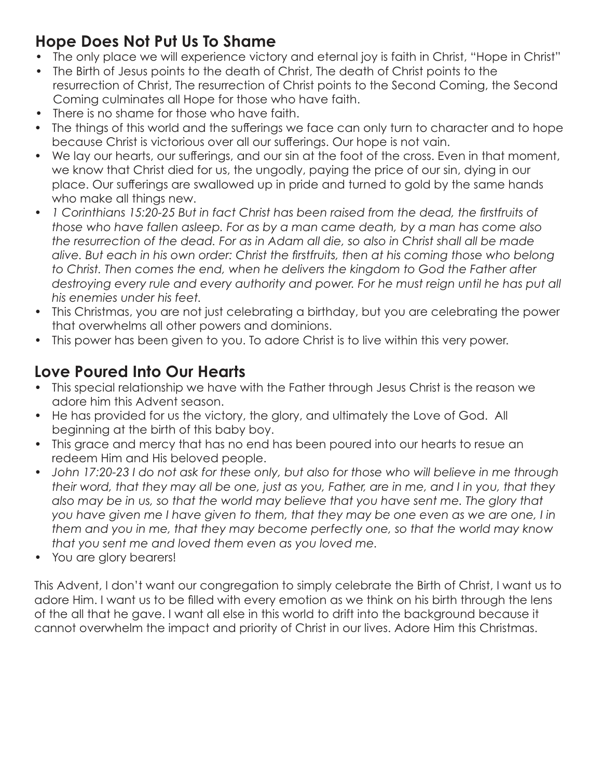### **Hope Does Not Put Us To Shame**

- The only place we will experience victory and eternal joy is faith in Christ, "Hope in Christ"
- The Birth of Jesus points to the death of Christ, The death of Christ points to the resurrection of Christ, The resurrection of Christ points to the Second Coming, the Second Coming culminates all Hope for those who have faith.
- There is no shame for those who have faith.
- The things of this world and the sufferings we face can only turn to character and to hope because Christ is victorious over all our sufferings. Our hope is not vain.
- We lay our hearts, our sufferings, and our sin at the foot of the cross. Even in that moment, we know that Christ died for us, the ungodly, paying the price of our sin, dying in our place. Our sufferings are swallowed up in pride and turned to gold by the same hands who make all things new.
- *1 Corinthians 15:20-25 But in fact Christ has been raised from the dead, the firstfruits of those who have fallen asleep. For as by a man came death, by a man has come also the resurrection of the dead. For as in Adam all die, so also in Christ shall all be made alive. But each in his own order: Christ the firstfruits, then at his coming those who belong*  to Christ. Then comes the end, when he delivers the kingdom to God the Father after destroying every rule and every authority and power. For he must reign until he has put all *his enemies under his feet.*
- This Christmas, you are not just celebrating a birthday, but you are celebrating the power that overwhelms all other powers and dominions.
- This power has been given to you. To adore Christ is to live within this very power.

## **Love Poured Into Our Hearts**

- This special relationship we have with the Father through Jesus Christ is the reason we adore him this Advent season.
- He has provided for us the victory, the glory, and ultimately the Love of God. All beginning at the birth of this baby boy.
- This grace and mercy that has no end has been poured into our hearts to resue an redeem Him and His beloved people.
- *John 17:20-23 I do not ask for these only, but also for those who will believe in me through their word, that they may all be one, just as you, Father, are in me, and I in you, that they*  also may be in us, so that the world may believe that you have sent me. The glory that *you have given me I have given to them, that they may be one even as we are one, I in them and you in me, that they may become perfectly one, so that the world may know that you sent me and loved them even as you loved me.*
- You are glory bearers!

This Advent, I don't want our congregation to simply celebrate the Birth of Christ, I want us to adore Him. I want us to be filled with every emotion as we think on his birth through the lens of the all that he gave. I want all else in this world to drift into the background because it cannot overwhelm the impact and priority of Christ in our lives. Adore Him this Christmas.